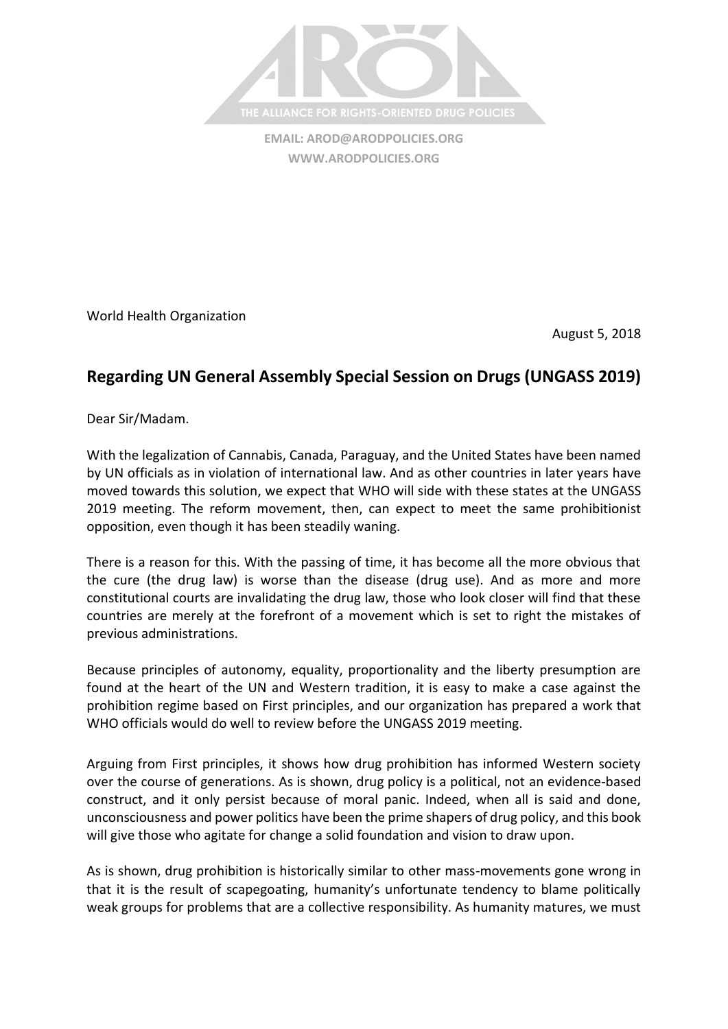

**EMAIL: [AROD@ARODPOLICIES.ORG](mailto:AROD@ARODPOLICIES.ORG) [WWW.ARODPOLICIES.ORG](http://www.arodpolicies.org/)**

World Health Organization

August 5, 2018

## **Regarding UN General Assembly Special Session on Drugs (UNGASS 2019)**

Dear Sir/Madam.

With the legalization of Cannabis, Canada, Paraguay, and the United States have been named by UN officials as in violation of international law. And as other countries in later years have moved towards this solution, we expect that WHO will side with these states at the UNGASS 2019 meeting. The reform movement, then, can expect to meet the same prohibitionist opposition, even though it has been steadily waning.

There is a reason for this. With the passing of time, it has become all the more obvious that the cure (the drug law) is worse than the disease (drug use). And as more and more constitutional courts are invalidating the drug law, those who look closer will find that these countries are merely at the forefront of a movement which is set to right the mistakes of previous administrations.

Because principles of autonomy, equality, proportionality and the liberty presumption are found at the heart of the UN and Western tradition, it is easy to make a case against the prohibition regime based on First principles, and our organization has prepared a work that WHO officials would do well to review before the UNGASS 2019 meeting.

Arguing from First principles, it shows how drug prohibition has informed Western society over the course of generations. As is shown, drug policy is a political, not an evidence-based construct, and it only persist because of moral panic. Indeed, when all is said and done, unconsciousness and power politics have been the prime shapers of drug policy, and this book will give those who agitate for change a solid foundation and vision to draw upon.

As is shown, drug prohibition is historically similar to other mass-movements gone wrong in that it is the result of scapegoating, humanity's unfortunate tendency to blame politically weak groups for problems that are a collective responsibility. As humanity matures, we must